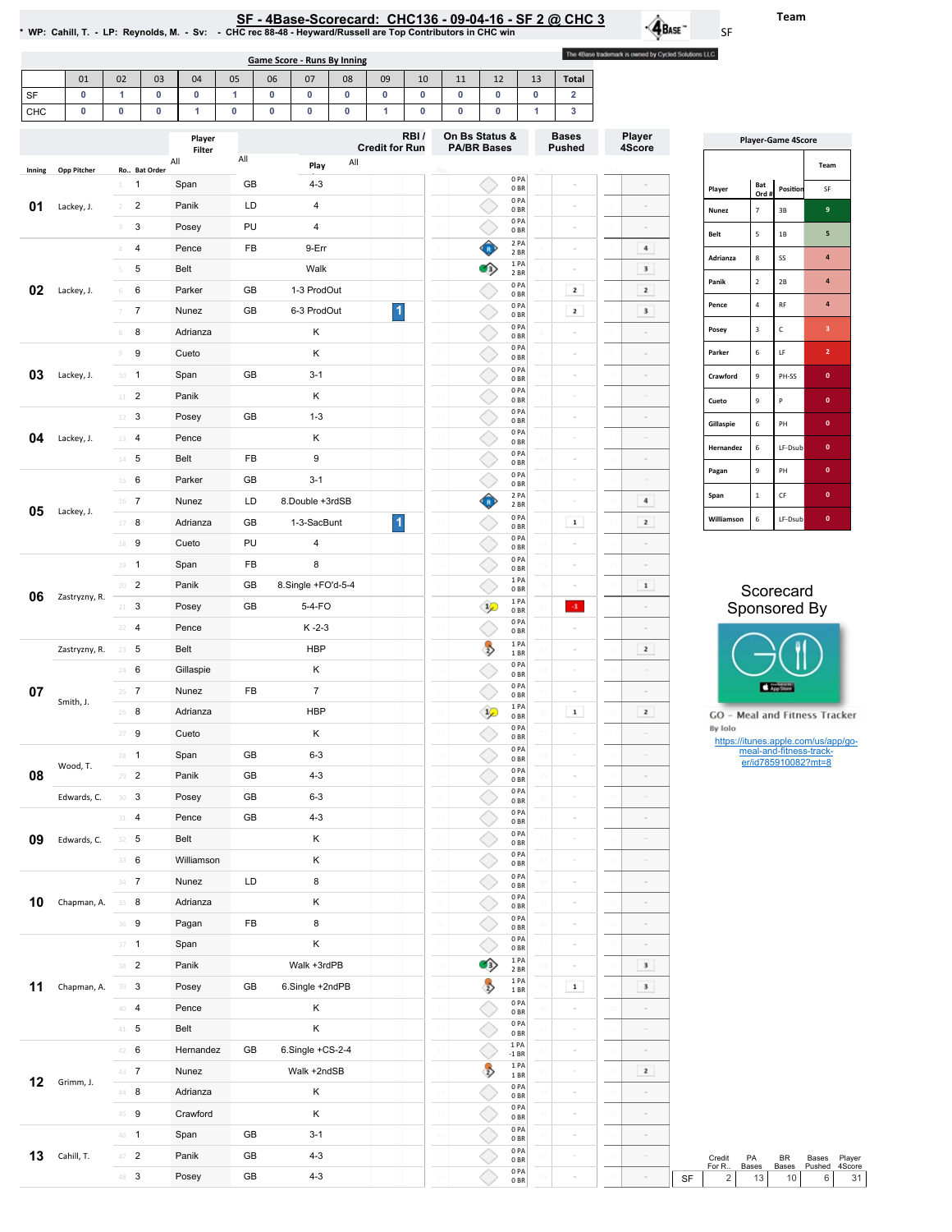| SF - 4Base-Scorecard: CHC136 - 09-04-16 - SF 2 @ CHC 3                                                        |  |
|---------------------------------------------------------------------------------------------------------------|--|
| NP: Cahill, T. - LP: Reynolds, M. - Sv: - - CHC rec 88-48 - Heyward/Russell are Top Contributors in CHC win * |  |

 $\cdot \mathbf{A}_{\text{Base}}$ SF The 4Base trademark is owned by Cycled Solutions LLC.

|           |                    |                                              |                |                  |        |                | <b>Game Score - Runs By Inning</b> |                  |                           |        |                 |                                      |                                    |                         |                |                               |                           |    |                |
|-----------|--------------------|----------------------------------------------|----------------|------------------|--------|----------------|------------------------------------|------------------|---------------------------|--------|-----------------|--------------------------------------|------------------------------------|-------------------------|----------------|-------------------------------|---------------------------|----|----------------|
|           | 01                 | 02                                           | 03             | 04               | 05     | 06             | 07                                 | 08               | 09                        | 10     |                 | 11                                   | 12                                 |                         | 13             | <b>Total</b>                  |                           |    |                |
| SF<br>CHC | 0<br>0             | $\mathbf{1}$<br>$\pmb{0}$                    | $\pmb{0}$<br>0 | 0<br>1           | 1<br>0 | $\pmb{0}$<br>0 | $\pmb{0}$<br>0                     | $\mathbf 0$<br>0 | $\pmb{0}$<br>$\mathbf{1}$ | 0<br>0 |                 | 0<br>0                               | $\pmb{0}$<br>0                     |                         | $\pmb{0}$<br>1 | $\overline{\mathbf{2}}$<br>3  |                           |    |                |
|           |                    |                                              |                |                  |        |                |                                    |                  |                           |        |                 |                                      |                                    |                         |                |                               |                           |    |                |
|           |                    |                                              |                | Player<br>Filter |        |                |                                    |                  | <b>Credit for Run</b>     | RBI/   |                 | On Bs Status &<br><b>PA/BR Bases</b> |                                    |                         |                | <b>Bases</b><br><b>Pushed</b> | Player<br>4Score          |    |                |
| Inning    | <b>Opp Pitcher</b> |                                              | Ro Bat Order   | All              | All    |                | Play                               | All              |                           |        |                 |                                      |                                    |                         |                |                               |                           |    |                |
|           |                    | 1<br>$\perp$                                 |                | Span             | GB     |                | $4 - 3$                            |                  |                           |        |                 |                                      |                                    | 0PA<br>0 <sub>BR</sub>  |                |                               |                           |    | Player         |
| 01        | Lackey, J.         | $\overline{2}$<br>$\overline{2}$             |                | Panik            | LD     |                | 4                                  |                  |                           |        |                 |                                      |                                    | 0PA<br>0 <sub>BR</sub>  |                | $\bar{\omega}$                |                           |    | Nune:          |
|           |                    | 3<br>3                                       |                | Posey            | PU     |                | 4                                  |                  |                           |        |                 |                                      |                                    | 0PA<br>0 <sub>BR</sub>  |                | $\alpha$                      | $\alpha$                  |    | Belt           |
|           |                    | 4<br>4                                       |                | Pence            | FB     |                | 9-Err                              |                  |                           |        |                 |                                      | ♦                                  | 2 PA<br>2BR             |                | $\bar{\sigma}$                | $\,$ 4 $\,$               |    | Adria          |
|           |                    | 5<br>$\,$ 5                                  |                | Belt             |        |                | Walk                               |                  |                           |        |                 |                                      | O)                                 | 1PA<br>2 BR             |                | $\alpha$                      | $\ensuremath{\mathbf{3}}$ |    | Panik          |
| 02        | Lackey, J.         | 6<br>6                                       |                | Parker           | GB     |                | 1-3 ProdOut                        |                  |                           |        |                 |                                      |                                    | 0PA<br>0 <sub>BR</sub>  |                | $\mathbf{z}$                  | $\mathbf{z}$              |    |                |
|           |                    | $\boldsymbol{7}$<br>$\overline{\mathcal{I}}$ |                | Nunez            | GB     |                | 6-3 ProdOut                        |                  | $\vert$                   |        |                 |                                      |                                    | 0PA<br>0 <sub>BR</sub>  |                | $\mathbf{z}$                  | $\ensuremath{\mathsf{3}}$ |    | Pence          |
|           |                    | 8<br>$\,$ 8 $\,$                             |                | Adrianza         |        |                | Κ                                  |                  |                           |        |                 |                                      |                                    | 0PA<br>0 <sub>BR</sub>  |                |                               |                           |    | Posey          |
|           |                    | 9<br>$\mathcal G$                            |                | Cueto            |        |                | Κ                                  |                  |                           |        |                 |                                      |                                    | 0PA<br>0 <sub>BR</sub>  |                | $\alpha$                      | $\alpha$                  |    | Parke          |
| 03        | Lackey, J.         | $10 - 1$                                     |                | Span             | GB     |                | $3 - 1$                            |                  |                           |        | 10              |                                      |                                    | 0PA<br>0 <sub>BR</sub>  | 10             |                               | $\alpha$                  |    | Crawf          |
|           |                    | $\overline{2}$<br>$11$                       |                | Panik            |        |                | Κ                                  |                  |                           |        | $\overline{11}$ |                                      |                                    | 0PA<br>0 <sub>BR</sub>  |                | $\alpha$                      | $\sim$                    |    | Cueto          |
|           |                    | 3<br>12                                      |                | Posey            | GB     |                | $1 - 3$                            |                  |                           |        | $\frac{1}{2}$   |                                      |                                    | 0PA<br>0 <sub>BR</sub>  |                | $\overline{a}$                |                           |    | Gillas         |
| 04        | Lackey, J.         | $\overline{4}$<br>13                         |                | Pence            |        |                | Κ                                  |                  |                           |        |                 |                                      |                                    | 0PA<br>0 <sub>BR</sub>  |                | $\alpha$                      | $\alpha$                  |    | Herna          |
|           |                    | $14$ 5                                       |                | Belt             | FB     |                | 9                                  |                  |                           |        | 14              |                                      |                                    | 0PA<br>0 <sub>BR</sub>  |                | $\alpha$                      | $\alpha$                  |    | Pagar          |
|           |                    | 6<br>15                                      |                | Parker           | GB     |                | $3 - 1$                            |                  |                           |        | 15              |                                      |                                    | 0PA<br>0 <sub>BR</sub>  |                | $\alpha$                      | $\alpha$                  |    |                |
| 05        | Lackey, J.         | $16$ 7                                       |                | Nunez            | LD     |                | 8.Double +3rdSB                    |                  |                           |        | 16              |                                      | ♦                                  | 2 PA<br>2 BR            |                |                               | $\bf{4}$                  |    | Span           |
|           |                    | 8<br>17                                      |                | Adrianza         | GB     |                | 1-3-SacBunt                        |                  | $\vert$ 1                 |        |                 |                                      |                                    | 0PA<br>0 BR             |                | $\mathbf 1$                   | $\mathbf{z}$              |    | Willia         |
|           |                    | 9<br>18                                      |                | Cueto            | PU     |                | $\pmb{4}$                          |                  |                           |        | 18              |                                      |                                    | 0PA<br>0 <sub>BR</sub>  | 18             |                               |                           |    |                |
|           |                    | $19 - 1$                                     |                | Span             | FB     |                | 8                                  |                  |                           |        | 15              |                                      |                                    | 0PA<br>0 <sub>BR</sub>  |                | $\bar{\sigma}$                | $\circ$                   |    |                |
| 06        | Zastryzny, R.      | $20 - 2$                                     |                | Panik            | GB     |                | 8.Single +FO'd-5-4                 |                  |                           |        | 20              |                                      |                                    | 1PA<br>0 <sub>BR</sub>  |                |                               | $\mathbf 1$               |    |                |
|           |                    | 3<br>$21 -$                                  |                | Posey            | GB     |                | $5-4-FO$                           |                  |                           |        |                 |                                      | $\mathcal{P}$                      | 1 PA<br>0 <sub>BR</sub> |                | $\cdot 1$                     | $\alpha$                  |    |                |
|           |                    | $22 - 4$                                     |                | Pence            |        |                | $K - 2 - 3$                        |                  |                           |        | 22              |                                      |                                    | 0PA<br>0 <sub>BR</sub>  |                |                               |                           |    |                |
|           | Zastryzny, R.      | 23<br>5                                      |                | Belt             |        |                | <b>HBP</b>                         |                  |                           |        | 23              |                                      | $\rightarrow$                      | 1PA<br>1BR              |                |                               | $\mathbf{z}$              |    |                |
|           |                    | 6<br>24                                      |                | Gillaspie        |        |                | Κ                                  |                  |                           |        | 24              |                                      |                                    | 0PA<br>0 <sub>BR</sub>  |                | $\alpha$                      | $\alpha$                  |    |                |
| 07        | Smith, J.          | $\overline{7}$<br>25                         |                | Nunez            | FB     |                | $\overline{7}$                     |                  |                           |        |                 |                                      |                                    | 0PA<br>0 <sub>BR</sub>  |                |                               |                           |    |                |
|           |                    | 8<br>26                                      |                | Adrianza         |        |                | <b>HBP</b>                         |                  |                           |        | 26              |                                      | $\mathcal{P}$                      | 1PA<br>0 <sub>BR</sub>  |                | $\mathbf 1$                   | $\mathbf{z}$              |    | GO             |
|           |                    | 27<br>9                                      |                | Cueto            |        |                | Κ                                  |                  |                           |        | 27              |                                      |                                    | 0PA<br>0 <sub>BR</sub>  |                | $\alpha$                      |                           |    | By Ic<br>htt   |
|           | Wood, T.           | $\mathbf{1}$                                 |                | Span             | GB     |                | $6 - 3$                            |                  |                           |        |                 |                                      |                                    | 0PA<br>0 <sub>BR</sub>  |                |                               |                           |    |                |
| 08        |                    | $29 - 2$                                     |                | Panik            | GB     |                | $4 - 3$                            |                  |                           |        | 29              |                                      |                                    | 0PA<br>0 <sub>BR</sub>  |                |                               | $\alpha$                  |    |                |
|           | Edwards, C.        | $30-3$                                       |                | Posey            | GB     |                | $6 - 3$                            |                  |                           |        | 30              |                                      |                                    | 0PA<br>0 <sub>BR</sub>  |                | $\alpha$                      | $\alpha$                  |    |                |
|           |                    | $31 - 4$                                     |                | Pence            | GB     |                | $4 - 3$                            |                  |                           |        | 31              |                                      |                                    | 0PA<br>0 <sub>BR</sub>  |                | $\alpha$                      | $\alpha$                  |    |                |
| 09        | Edwards, C.        | $32 \quad 5$                                 |                | Belt             |        |                | Κ                                  |                  |                           |        | 32              |                                      |                                    | 0PA<br>0 <sub>BR</sub>  |                | $\alpha$                      | $\alpha$                  |    |                |
|           |                    | 33 6                                         |                | Williamson       |        |                | Κ                                  |                  |                           |        | 33              |                                      |                                    | 0PA<br>0 <sub>BR</sub>  |                | $\alpha$                      | $\bar{\omega}$            |    |                |
|           |                    | $34 - 7$                                     |                | Nunez            | LD     |                | 8                                  |                  |                           |        | 34              |                                      |                                    | 0PA<br>0 <sub>BR</sub>  |                | $\alpha$                      | $\alpha$                  |    |                |
| 10        | Chapman, A.        | 8<br>35                                      |                | Adrianza         |        |                | Κ                                  |                  |                           |        | 35              |                                      |                                    | 0PA<br>0 <sub>BR</sub>  |                | $\alpha$                      | $\alpha$                  |    |                |
|           |                    | 36 9                                         |                | Pagan            | FB     |                | 8                                  |                  |                           |        | 36              |                                      |                                    | 0PA<br>0 <sub>BR</sub>  |                | $\alpha$                      | $\bar{\omega}$            |    |                |
|           |                    | $37 - 1$                                     |                | Span             |        |                | Κ                                  |                  |                           |        | 37              |                                      |                                    | 0PA<br>0 <sub>BR</sub>  |                |                               | $\alpha$                  |    |                |
|           |                    | $38$ 2                                       |                | Panik            |        |                | Walk +3rdPB                        |                  |                           |        | 38              |                                      | $\left\langle \cdot \right\rangle$ | 1PA<br>2 BR             |                | $\alpha$                      | $\ensuremath{\mathsf{3}}$ |    |                |
| 11        | Chapman, A.        | 39<br>3                                      |                | Posey            | GB     |                | 6.Single +2ndPB                    |                  |                           |        | 39              |                                      | $\rightarrow$                      | 1PA<br>1 BR             |                | $\mathbf 1$                   | $\mathbf 3$               |    |                |
|           |                    | 40 4                                         |                | Pence            |        |                | Κ                                  |                  |                           |        | 40              |                                      |                                    | 0PA<br>0 <sub>BR</sub>  |                | $\alpha$                      | $\alpha$                  |    |                |
|           |                    | $41 - 5$                                     |                | Belt             |        |                | Κ                                  |                  |                           |        | $41\,$          |                                      |                                    | 0PA<br>0 <sub>BR</sub>  |                | $\alpha$                      | $\alpha$                  |    |                |
|           |                    | $\,6\,$<br>42                                |                | Hernandez        | GB     |                | 6.Single +CS-2-4                   |                  |                           |        | 42              |                                      |                                    | 1 PA<br>$-1$ BR         |                | $\alpha$                      | $\alpha$                  |    |                |
| 12        | Grimm, J.          | 43 7                                         |                | Nunez            |        |                | Walk +2ndSB                        |                  |                           |        | 43              |                                      | $\rightarrow$                      | 1PA<br>1 BR             |                | $\alpha$                      | $\mathbf{z}$              |    |                |
|           |                    | $44$ 8                                       |                | Adrianza         |        |                | Κ                                  |                  |                           |        | 44              |                                      |                                    | 0PA<br>0 <sub>BR</sub>  |                | $\alpha$                      | $\alpha$                  |    |                |
|           |                    | 45 9                                         |                | Crawford         |        |                | Κ                                  |                  |                           |        | 45              |                                      |                                    | 0PA<br>0 <sub>BR</sub>  | 45             | $\circ$                       | $\sim$                    |    |                |
|           |                    | $46 - 1$                                     |                | Span             | GB     |                | $3 - 1$                            |                  |                           |        | 46              |                                      |                                    | 0PA<br>0 <sub>BR</sub>  |                | $\alpha$                      | $\alpha$                  |    |                |
| 13        | Cahill, T.         | $\overline{c}$<br>47                         |                | Panik            | GB     |                | 4-3                                |                  |                           |        | 47              |                                      |                                    | 0PA<br>0 <sub>BR</sub>  |                | $\omega$                      | $\alpha$                  |    | Credi<br>For R |
|           |                    | 48 3                                         |                | Posey            | GB     |                | $4 - 3$                            |                  |                           |        |                 |                                      |                                    | 0PA<br>0 <sub>BR</sub>  |                | $\alpha$                      |                           | SF |                |

| <b>Player-Game 4Score</b><br>Team<br>Bat<br>Position<br>Player<br>SF<br>Ord#<br>9<br>7<br>3B<br><b>Nunez</b><br>5<br><b>Belt</b><br>5<br>1B<br>$\overline{a}$<br>Adrianza<br>8<br>SS<br>4<br>Panik<br>$\overline{2}$<br>2B<br>4<br>$\overline{4}$<br><b>RF</b><br>Pence<br>3<br>C<br>3<br>Posey<br>$\overline{2}$<br>Parker<br>6<br>LF<br>$\mathbf{o}$<br>Crawford<br>PH-SS<br>9 |   |         |              |  |  |  |  |  |  |
|----------------------------------------------------------------------------------------------------------------------------------------------------------------------------------------------------------------------------------------------------------------------------------------------------------------------------------------------------------------------------------|---|---------|--------------|--|--|--|--|--|--|
|                                                                                                                                                                                                                                                                                                                                                                                  |   |         |              |  |  |  |  |  |  |
|                                                                                                                                                                                                                                                                                                                                                                                  |   |         |              |  |  |  |  |  |  |
|                                                                                                                                                                                                                                                                                                                                                                                  |   |         |              |  |  |  |  |  |  |
|                                                                                                                                                                                                                                                                                                                                                                                  |   |         |              |  |  |  |  |  |  |
|                                                                                                                                                                                                                                                                                                                                                                                  |   |         |              |  |  |  |  |  |  |
|                                                                                                                                                                                                                                                                                                                                                                                  |   |         |              |  |  |  |  |  |  |
|                                                                                                                                                                                                                                                                                                                                                                                  |   |         |              |  |  |  |  |  |  |
|                                                                                                                                                                                                                                                                                                                                                                                  |   |         |              |  |  |  |  |  |  |
|                                                                                                                                                                                                                                                                                                                                                                                  |   |         |              |  |  |  |  |  |  |
|                                                                                                                                                                                                                                                                                                                                                                                  |   |         |              |  |  |  |  |  |  |
| Cueto                                                                                                                                                                                                                                                                                                                                                                            | 9 | P       | $\mathbf 0$  |  |  |  |  |  |  |
| Gillaspie                                                                                                                                                                                                                                                                                                                                                                        | 6 | PH      | $\mathbf{0}$ |  |  |  |  |  |  |
| Hernandez                                                                                                                                                                                                                                                                                                                                                                        | 6 | LF-Dsub | $\mathbf{0}$ |  |  |  |  |  |  |
| Pagan                                                                                                                                                                                                                                                                                                                                                                            | 9 | PH      | $\mathbf{0}$ |  |  |  |  |  |  |
| Span                                                                                                                                                                                                                                                                                                                                                                             | 1 | CF      | $\mathbf{0}$ |  |  |  |  |  |  |
| Williamson                                                                                                                                                                                                                                                                                                                                                                       | 6 | LF-Dsub | $\mathbf{0}$ |  |  |  |  |  |  |

## Scorecard Sponsored By



- Meal and Fitness Tracker olc

https://itunes.apple.com/us/app/go-meal-and-fitness-track-er/id785910082?mt=8

Credit PA BR Bases Player<br>For R.. Bases Bases Pushed 4Score<br>SF 2 13 10 6 31 BR Bases

Bases Pushed Player 4Score

Team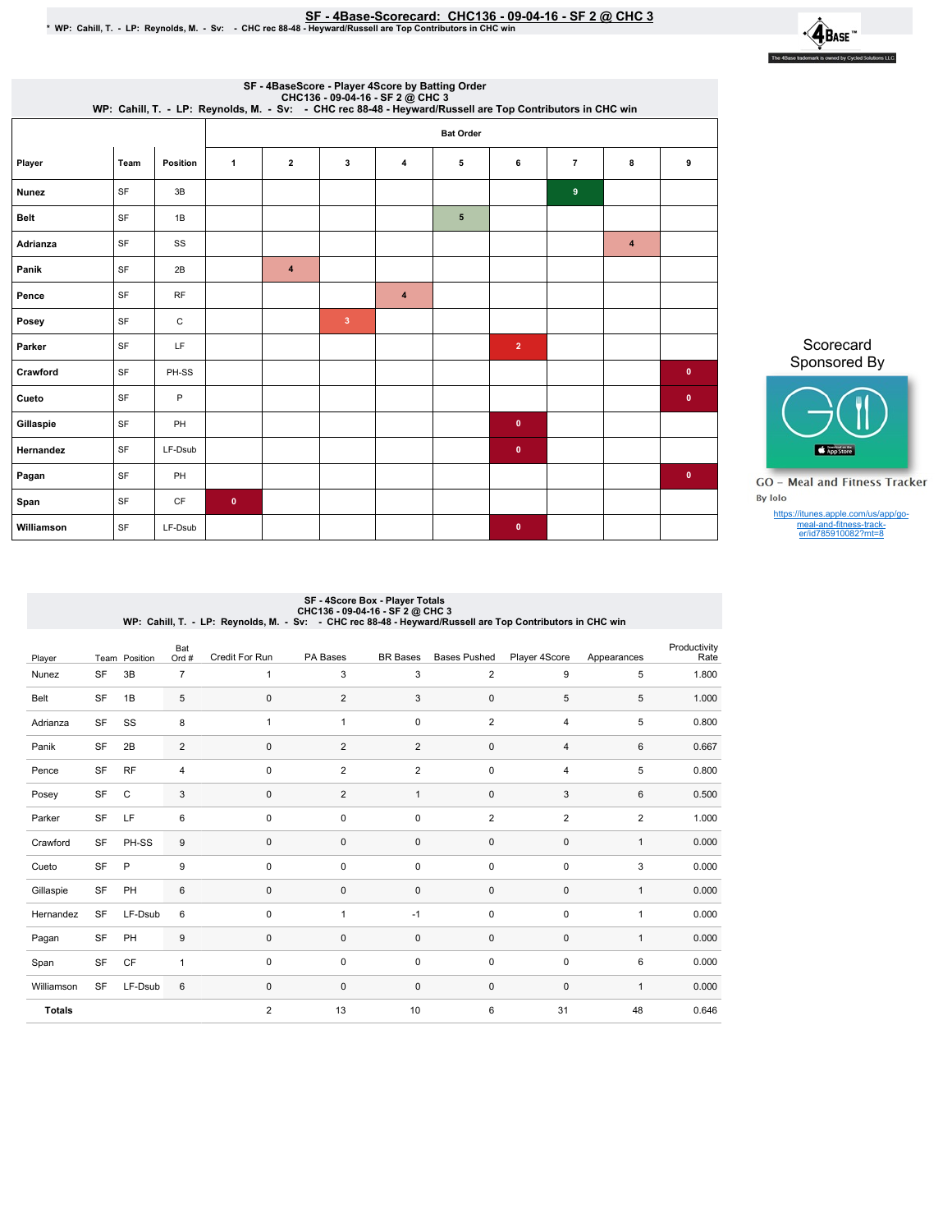## SF-4Base-Scorecard:CHC136-09-04-16-SF2@ CHC3 \*WP:Cahill,T.-LP:Reynolds,M.-Sv: -CHCrec88-48-Heyward/RussellareTopContributorsinCHCwin



|                  | WP: Cahill, T. - LP: Reynolds, M. - Sv: - CHC rec 88-48 - Heyward/Russell are Top Contributors in CHC win |          |              |                         | SF - 4BaseScore - Player 4Score by Batting Order |                  |   |                |                |                |           |
|------------------|-----------------------------------------------------------------------------------------------------------|----------|--------------|-------------------------|--------------------------------------------------|------------------|---|----------------|----------------|----------------|-----------|
| <b>Bat Order</b> |                                                                                                           |          |              |                         |                                                  |                  |   |                |                |                |           |
| Player           | Team                                                                                                      | Position | $\mathbf{1}$ | $\mathbf{2}$            | 3                                                | 4                | 5 | 6              | $\overline{7}$ | 8              | 9         |
| <b>Nunez</b>     | SF                                                                                                        | 3B       |              |                         |                                                  |                  |   |                | 9              |                |           |
| <b>Belt</b>      | SF                                                                                                        | 1B       |              |                         |                                                  |                  | 5 |                |                |                |           |
| Adrianza         | SF                                                                                                        | SS       |              |                         |                                                  |                  |   |                |                | $\overline{4}$ |           |
| Panik            | SF                                                                                                        | 2B       |              | $\overline{\mathbf{4}}$ |                                                  |                  |   |                |                |                |           |
| Pence            | SF                                                                                                        | RF       |              |                         |                                                  | $\boldsymbol{4}$ |   |                |                |                |           |
| Posey            | SF                                                                                                        | C        |              |                         | $\overline{3}$                                   |                  |   |                |                |                |           |
| Parker           | SF                                                                                                        | LF       |              |                         |                                                  |                  |   | $\overline{2}$ |                |                |           |
| Crawford         | SF                                                                                                        | PH-SS    |              |                         |                                                  |                  |   |                |                |                | $\bullet$ |
| Cueto            | SF                                                                                                        | P        |              |                         |                                                  |                  |   |                |                |                | $\bullet$ |
| Gillaspie        | SF                                                                                                        | PH       |              |                         |                                                  |                  |   | $\bullet$      |                |                |           |
| Hernandez        | SF                                                                                                        | LF-Dsub  |              |                         |                                                  |                  |   | $\bullet$      |                |                |           |
| Pagan            | SF                                                                                                        | PH       |              |                         |                                                  |                  |   |                |                |                | $\bullet$ |
| Span             | SF                                                                                                        | CF       | $\bullet$    |                         |                                                  |                  |   |                |                |                |           |
| Williamson       | SF                                                                                                        | LF-Dsub  |              |                         |                                                  |                  |   | $\pmb{0}$      |                |                |           |

Scorecard Sponsored By



**GO** - Meal and Fitness Tracker By Iolo

https://itunes.apple.com/us/app/go-meal-and-fitness-track-er/id785910082?mt=8

## SF - 4Score Box - Player Totals<br>CHC136 - 09-04-16 - CHC 16: CHC 16<br>WP: Cahill, T. - LP: Reynolds, M. - Sv: - CHC rec 88-48 - Heyward/Russell are Top Contributors in CHC win

| Player        |           | Team Position | Bat<br>Ord #   | Credit For Run | PA Bases       | <b>BR</b> Bases | <b>Bases Pushed</b> | Player 4Score  | Appearances    | Productivity<br>Rate |
|---------------|-----------|---------------|----------------|----------------|----------------|-----------------|---------------------|----------------|----------------|----------------------|
| Nunez         | SF        | 3B            | $\overline{7}$ | 1              | 3              | 3               | $\overline{2}$      | 9              | 5              | 1.800                |
| Belt          | SF        | 1B            | 5              | 0              | $\overline{2}$ | 3               | $\pmb{0}$           | 5              | 5              | 1.000                |
| Adrianza      | SF        | SS            | 8              | 1              | $\overline{1}$ | 0               | $\overline{2}$      | $\overline{4}$ | 5              | 0.800                |
| Panik         | SF        | 2B            | $\sqrt{2}$     | $\mathbf 0$    | $\overline{2}$ | $\overline{2}$  | $\pmb{0}$           | 4              | 6              | 0.667                |
| Pence         | SF        | <b>RF</b>     | $\overline{4}$ | $\mathbf 0$    | $\overline{2}$ | $\overline{2}$  | 0                   | $\overline{4}$ | 5              | 0.800                |
| Posey         | SF        | $\mathbf C$   | 3              | 0              | $\overline{2}$ | $\mathbf{1}$    | $\pmb{0}$           | 3              | 6              | 0.500                |
| Parker        | SF        | LF            | 6              | $\mathbf 0$    | $\mathbf 0$    | $\mathbf 0$     | $\overline{2}$      | $\overline{2}$ | $\overline{2}$ | 1.000                |
| Crawford      | SF        | PH-SS         | $9\,$          | $\mathbf 0$    | 0              | 0               | 0                   | $\mathbf 0$    | $\mathbf{1}$   | 0.000                |
| Cueto         | SF        | $\mathsf{P}$  | 9              | 0              | $\mathbf 0$    | 0               | 0                   | $\pmb{0}$      | 3              | 0.000                |
| Gillaspie     | SF        | PH            | $\,6\,$        | 0              | 0              | 0               | $\pmb{0}$           | $\mathbf 0$    | $\mathbf{1}$   | 0.000                |
| Hernandez     | SF        | LF-Dsub       | 6              | 0              | $\overline{1}$ | $-1$            | 0                   | $\pmb{0}$      | 1              | 0.000                |
| Pagan         | SF        | PH            | $9\,$          | $\mathbf 0$    | $\mathbf 0$    | $\mathbf 0$     | 0                   | $\mathbf 0$    | $\mathbf{1}$   | 0.000                |
| Span          | SF        | CF            | 1              | 0              | $\mathbf 0$    | 0               | 0                   | $\pmb{0}$      | 6              | 0.000                |
| Williamson    | <b>SF</b> | LF-Dsub       | 6              | $\mathbf 0$    | $\mathbf 0$    | $\mathbf 0$     | $\mathbf 0$         | $\mathbf 0$    | $\mathbf{1}$   | 0.000                |
| <b>Totals</b> |           |               |                | $\overline{2}$ | 13             | 10              | 6                   | 31             | 48             | 0.646                |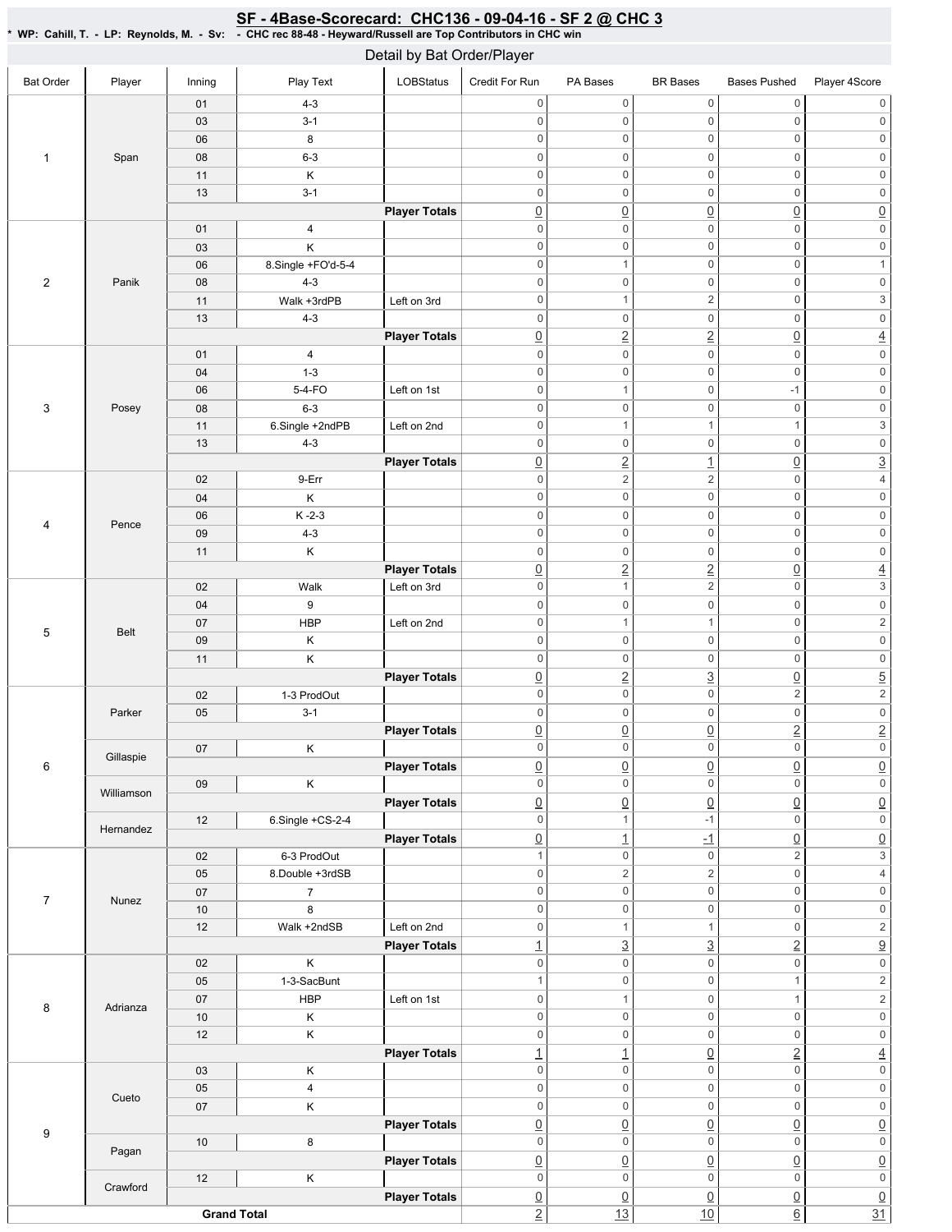## SF - 4Base-Scorecard: CHC136 - 09-04-16 - SF 2 @ CHC 3

\*WP:Cahill,T.-LP:Reynolds,M.-Sv: -CHCrec88-48-Heyward/RussellareTopContributorsinCHCwin

| Detail by Bat Order/Player                                           |                     |                    |                         |                      |                               |                                       |                                   |                                |                                         |  |  |
|----------------------------------------------------------------------|---------------------|--------------------|-------------------------|----------------------|-------------------------------|---------------------------------------|-----------------------------------|--------------------------------|-----------------------------------------|--|--|
| <b>Bat Order</b>                                                     | Player              | Inning             | Play Text               | LOBStatus            | Credit For Run                | PA Bases                              | <b>BR</b> Bases                   | <b>Bases Pushed</b>            | Player 4Score                           |  |  |
|                                                                      |                     | 01                 | $4 - 3$                 |                      | $\mathsf{O}\xspace$           | $\mathsf{O}\xspace$                   | $\mathsf{O}\xspace$               | $\mathbb O$                    | $\mathsf{O}\xspace$                     |  |  |
|                                                                      |                     | 03                 | $3 - 1$                 |                      | $\mathbf 0$                   | $\mathbf 0$                           | $\mathsf{O}\xspace$               | $\mathbb O$                    | $\mathbb O$                             |  |  |
|                                                                      |                     | 06                 | 8                       |                      | $\mathbf 0$                   | $\mathbf 0$                           | $\mathsf{O}\xspace$               | $\boldsymbol{0}$               | $\mathsf{O}\xspace$                     |  |  |
|                                                                      | Span                | 08                 | $6 - 3$                 |                      | $\mathbf 0$                   | $\mathbf 0$                           | $\mathbf 0$                       | $\boldsymbol{0}$               | $\mathsf{O}\xspace$                     |  |  |
|                                                                      |                     | 11                 | Κ                       |                      | $\mathbf 0$                   | $\mathsf 0$                           | $\mathbf 0$                       | $\boldsymbol{0}$               | $\mathsf{O}\xspace$                     |  |  |
| $\mathbf{1}$<br>$\overline{c}$<br>3<br>4<br>5<br>6<br>$\overline{7}$ |                     | 13                 | $3 - 1$                 |                      | $\mathbf 0$                   | $\mathsf 0$                           | $\mathbf 0$                       | $\boldsymbol{0}$               | $\mathsf 0$                             |  |  |
|                                                                      |                     |                    |                         | <b>Player Totals</b> | $\underline{0}$               | $\underline{0}$                       | $\underline{0}$                   | $\underline{0}$                | $\underline{0}$                         |  |  |
|                                                                      |                     | 01                 | $\pmb{4}$               |                      | $\mathbf 0$                   | $\mathbf 0$                           | $\mathbf 0$                       | $\mathbf 0$                    | $\mathsf 0$                             |  |  |
|                                                                      |                     | 03                 | Κ                       |                      | $\mathbf 0$                   | $\mathsf{O}\xspace$                   | $\mathsf 0$                       | $\mathbf 0$                    | $\overline{\mathbf{0}}$                 |  |  |
|                                                                      |                     | 06                 | 8.Single +FO'd-5-4      |                      | $\mathbf 0$                   | $\mathbf{1}$                          | $\mathbf 0$                       | $\mathbf 0$                    | $\mathbf{1}$                            |  |  |
|                                                                      | Panik               | 08                 | $4 - 3$                 |                      | $\mathbf 0$                   | $\,0\,$                               | $\mathbf 0$                       | $\mathbb O$                    | $\mathsf{O}\xspace$                     |  |  |
|                                                                      |                     | 11                 | Walk +3rdPB             | Left on 3rd          | $\mathbf 0$                   | $\mathbf{1}$                          | $\overline{\mathbf{c}}$           | $\mathbb O$                    | $\overline{3}$                          |  |  |
|                                                                      |                     | 13                 | $4 - 3$                 |                      | $\mathbf 0$                   | $\mathsf 0$                           | $\mathsf 0$                       | $\mathbb O$                    | $\mathsf 0$                             |  |  |
|                                                                      |                     |                    |                         | <b>Player Totals</b> | $\underline{0}$               | $\underline{2}$                       | $\overline{2}$                    | $\underline{0}$                | $\overline{4}$                          |  |  |
|                                                                      |                     | 01                 | $\overline{\mathbf{4}}$ |                      | $\mathbf 0$                   | $\,0\,$                               | $\mathbf 0$                       | $\mathbf 0$                    | $\mathsf{O}\xspace$                     |  |  |
|                                                                      |                     | 04                 | $1 - 3$                 |                      | $\mathbf 0$                   | $\mathsf{O}\xspace$                   | $\mathbf 0$                       | $\bf 0$                        | $\overline{\text{o}}$                   |  |  |
|                                                                      |                     | 06                 | 5-4-FO                  | Left on 1st          | $\mathbf 0$                   | $\mathbf{1}$                          | $\mathbf 0$                       | $-1$                           | $\mathsf 0$                             |  |  |
|                                                                      | Posey               | 08                 | $6 - 3$                 |                      | $\mathbf 0$                   | $\mathbf 0$                           | $\mathbf 0$                       | $\mathbf 0$                    | $\mathsf{O}\xspace$                     |  |  |
|                                                                      |                     | 11                 | 6.Single +2ndPB         | Left on 2nd          | $\mathbf 0$                   | $\mathbf{1}$                          | $\mathbf{1}$                      | $\overline{1}$                 | $\overline{3}$                          |  |  |
|                                                                      |                     | 13                 | $4 - 3$                 |                      | $\mathbf 0$                   | $\mathbf 0$                           | $\mathsf 0$                       | $\mathbb O$                    | $\mathsf{O}\xspace$                     |  |  |
|                                                                      |                     |                    |                         | <b>Player Totals</b> | $\underline{0}$               | $\underline{2}$                       | $\overline{1}$                    | $\underline{0}$                | $\overline{3}$                          |  |  |
|                                                                      |                     | 02                 | 9-Err                   |                      | $\mathbf 0$                   | $\overline{c}$                        | $\overline{c}$                    | $\mathbb O$                    | $\overline{4}$                          |  |  |
|                                                                      |                     | 04                 | Κ                       |                      | $\mathbf 0$                   | $\mathsf{O}\xspace$                   | $\mathbf 0$                       | $\mathbb O$                    | $\boldsymbol{0}$                        |  |  |
|                                                                      |                     | 06                 | $K - 2 - 3$             |                      | $\mathbf 0$                   | $\boldsymbol{0}$                      | $\mathbf 0$                       | $\mathbb O$                    | $\mathsf{O}\xspace$                     |  |  |
|                                                                      | Pence               | 09                 | $4 - 3$                 |                      | $\mathbf 0$                   | $\mathsf 0$                           | $\mathsf 0$                       | $\mathbb O$                    | $\overline{\mathbf{0}}$                 |  |  |
|                                                                      |                     | 11                 | Κ                       |                      | $\mathbf 0$                   | $\boldsymbol{0}$                      | $\mathbf 0$                       | $\mathbb O$                    | $\mathsf{O}\xspace$                     |  |  |
|                                                                      |                     |                    |                         | <b>Player Totals</b> | $\underline{0}$               | $\underline{2}$                       | $\underline{2}$                   | $\underline{0}$                | $\overline{4}$                          |  |  |
|                                                                      |                     | 02                 | Walk                    | Left on 3rd          | $\mathbf 0$                   | $\mathbf{1}$                          | $\overline{c}$                    | $\mathbb O$                    | $\overline{3}$                          |  |  |
|                                                                      |                     | 04                 | 9                       |                      | $\mathbf 0$                   | $\mathsf{O}\xspace$                   | $\mathbf 0$                       | $\mathbb O$                    | $\mathsf 0$                             |  |  |
|                                                                      | <b>Belt</b>         | 07                 | <b>HBP</b>              | Left on 2nd          | $\mathbf 0$                   | $\mathbf{1}$                          | $\mathbf{1}$                      | $\boldsymbol{0}$               | $\overline{2}$                          |  |  |
|                                                                      |                     | 09                 | Κ                       |                      | $\mathbf 0$                   | $\mathbf 0$                           | $\mathbf 0$                       | $\mathbf 0$                    | $\mathbf 0$                             |  |  |
|                                                                      |                     | 11                 | Κ                       |                      | $\mathbf 0$                   | $\mathbf 0$                           | $\mathsf{O}\xspace$               | $\mathbf 0$                    | $\overline{\text{O}}$                   |  |  |
|                                                                      |                     |                    |                         | <b>Player Totals</b> | $\underline{0}$               | $\underline{2}$                       | $\overline{3}$                    | $\underline{0}$                | $\overline{5}$                          |  |  |
|                                                                      | Parker<br>Gillaspie | 02                 | 1-3 ProdOut             |                      | $\mathbf 0$                   | $\mathsf{O}\xspace$                   | $\mathbf 0$                       | $\sqrt{2}$                     | $\overline{2}$                          |  |  |
|                                                                      |                     | 05                 | $3 - 1$                 |                      | $\mathbf 0$                   | $\mathbf 0$                           | $\mathsf 0$                       | $\mathbb O$                    | $\overline{0}$                          |  |  |
|                                                                      |                     |                    |                         | <b>Player Totals</b> | $\underline{0}$               | $\underline{0}$                       | $\underline{0}$                   | $\underline{2}$                | $\overline{2}$                          |  |  |
|                                                                      |                     | 07                 | Κ                       |                      | 0                             | 0                                     | 0                                 | 0                              | 0                                       |  |  |
|                                                                      |                     |                    |                         | <b>Player Totals</b> | $\underline{0}$               | $\underline{0}$                       | $\underline{0}$                   | $\underline{0}$                | $\underline{0}$                         |  |  |
|                                                                      | Williamson          | 09                 | Κ                       |                      | $\mathbf 0$                   | $\mathbf 0$                           | $\mathsf 0$                       | $\mathsf 0$                    | $\overline{\text{o}}$                   |  |  |
|                                                                      |                     |                    |                         | <b>Player Totals</b> | $\underline{0}$               | $\underline{0}$                       | $\underline{0}$                   | $\underline{0}$                | $\underline{0}$                         |  |  |
|                                                                      | Hernandez           | 12                 | $6.$ Single $+CS-2-4$   |                      | $\mathbf 0$                   | $\mathbf{1}$                          | $-1$                              | $\mathbb O$                    | $\mathsf{O}\xspace$                     |  |  |
|                                                                      |                     |                    |                         | <b>Player Totals</b> | $\underline{0}$               | $\overline{1}$                        | $-1$                              | $\underline{0}$                | $\underline{0}$                         |  |  |
|                                                                      |                     | 02                 | 6-3 ProdOut             |                      | $\mathbf{1}$                  | $\mathsf{O}\xspace$                   | $\mathbf 0$                       | $\sqrt{2}$                     | $\overline{3}$                          |  |  |
|                                                                      |                     | 05                 | 8.Double +3rdSB         |                      | $\mathbf 0$<br>$\mathbf 0$    | $\overline{2}$<br>$\mathsf{O}\xspace$ | $\sqrt{2}$<br>$\mathsf{O}\xspace$ | $\mathbb O$<br>$\mathbf 0$     | $\overline{4}$                          |  |  |
|                                                                      | Nunez               | 07<br>10           | $\overline{7}$<br>8     |                      | $\mathbf 0$                   | $\mathbf 0$                           | $\mathsf 0$                       | $\boldsymbol{0}$               | $\mathsf{0}$<br>$\overline{\mathbf{0}}$ |  |  |
|                                                                      |                     | 12                 | Walk +2ndSB             | Left on 2nd          | $\mathbf 0$                   | $\mathbf{1}$                          | $\mathbf{1}$                      | $\boldsymbol{0}$               | $\overline{\mathbf{c}}$                 |  |  |
|                                                                      |                     |                    |                         | <b>Player Totals</b> |                               |                                       |                                   |                                | $\overline{9}$                          |  |  |
|                                                                      |                     | 02                 | Κ                       |                      | $\overline{1}$<br>$\mathbf 0$ | $\underline{3}$<br>$\mathbf 0$        | $\underline{3}$<br>$\mathsf 0$    | $\underline{2}$<br>$\mathbb O$ | $\mathsf{O}\xspace$                     |  |  |
|                                                                      |                     | 05                 | 1-3-SacBunt             |                      | $\mathbf{1}$                  | $\mathbf 0$                           | $\mathsf 0$                       | $\mathbf{1}$                   | $\overline{2}$                          |  |  |
|                                                                      |                     | 07                 | <b>HBP</b>              | Left on 1st          | $\mathbf 0$                   | $\mathbf{1}$                          | $\mathsf 0$                       | $\mathbf{1}$                   | $\overline{2}$                          |  |  |
| 8                                                                    | Adrianza            | 10                 | $\mathsf K$             |                      | $\mathbf 0$                   | $\mathsf{O}\xspace$                   | $\mathsf 0$                       | $\mathbb O$                    | $\overline{\mathbf{0}}$                 |  |  |
|                                                                      |                     | 12                 | Κ                       |                      | $\mathbf 0$                   | $\mathbf 0$                           | $\mathsf 0$                       | $\mathbb O$                    | $\mathsf{O}\xspace$                     |  |  |
|                                                                      |                     |                    |                         | <b>Player Totals</b> | $\overline{1}$                | $\overline{1}$                        | $\underline{0}$                   | $\overline{2}$                 | $\overline{4}$                          |  |  |
|                                                                      |                     | 03                 | Κ                       |                      | $\mathbf 0$                   | $\mathbf 0$                           | $\mathbf 0$                       | $\mathbb O$                    | $\overline{\text{O}}$                   |  |  |
|                                                                      |                     | 05                 | $\overline{4}$          |                      | $\mathbf 0$                   | $\mathsf{O}\xspace$                   | $\mathsf{O}\xspace$               | $\mathsf 0$                    | $\mathsf{O}\xspace$                     |  |  |
|                                                                      | Cueto               | 07                 | Κ                       |                      | $\mathbf 0$                   | $\mathsf{O}\xspace$                   | $\mathsf 0$                       | $\mathbb O$                    | $\mathsf{0}$                            |  |  |
|                                                                      |                     |                    |                         | <b>Player Totals</b> | $\underline{0}$               | $\underline{0}$                       | $\underline{0}$                   | $\underline{0}$                | $\underline{0}$                         |  |  |
| 9                                                                    |                     | $10$               | 8                       |                      | $\mathbf 0$                   | $\mathsf{O}\xspace$                   | $\mathsf 0$                       | $\mathbb O$                    | $\mathsf{O}\xspace$                     |  |  |
|                                                                      | Pagan               |                    |                         | <b>Player Totals</b> | $\underline{0}$               | $\underline{0}$                       | $\underline{0}$                   | $\underline{0}$                |                                         |  |  |
|                                                                      |                     | 12                 | Κ                       |                      | $\mathbf 0$                   | $\mathbf 0$                           | $\mathbf 0$                       | $\mathbb O$                    | $\frac{0}{0}$                           |  |  |
|                                                                      | Crawford            |                    |                         | <b>Player Totals</b> | $\underline{0}$               | $\underline{0}$                       | $\underline{0}$                   | $\underline{0}$                |                                         |  |  |
|                                                                      |                     | <b>Grand Total</b> |                         |                      | $\overline{2}$                | 13                                    | 10                                | $\underline{6}$                | $\frac{0}{31}$                          |  |  |